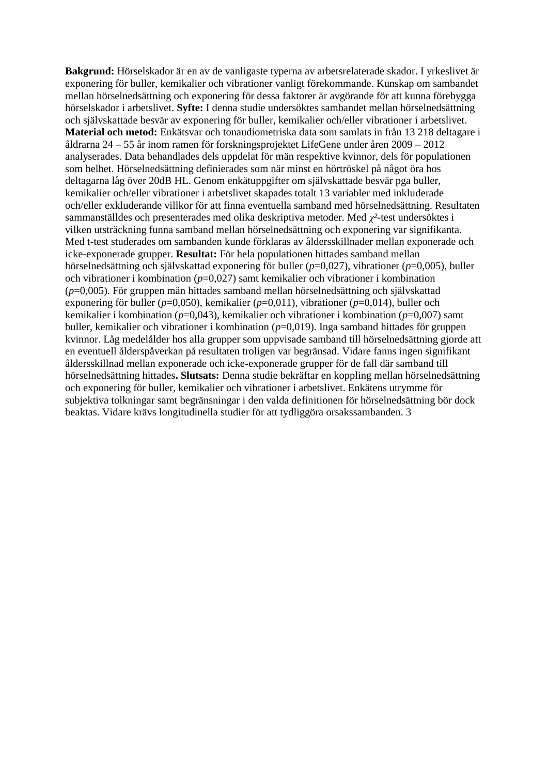**Bakgrund:** Hörselskador är en av de vanligaste typerna av arbetsrelaterade skador. I yrkeslivet är exponering för buller, kemikalier och vibrationer vanligt förekommande. Kunskap om sambandet mellan hörselnedsättning och exponering för dessa faktorer är avgörande för att kunna förebygga hörselskador i arbetslivet. **Syfte:** I denna studie undersöktes sambandet mellan hörselnedsättning och självskattade besvär av exponering för buller, kemikalier och/eller vibrationer i arbetslivet. **Material och metod:** Enkätsvar och tonaudiometriska data som samlats in från 13 218 deltagare i åldrarna 24 – 55 år inom ramen för forskningsprojektet LifeGene under åren 2009 – 2012 analyserades. Data behandlades dels uppdelat för män respektive kvinnor, dels för populationen som helhet. Hörselnedsättning definierades som när minst en hörtröskel på något öra hos deltagarna låg över 20dB HL. Genom enkätuppgifter om självskattade besvär pga buller, kemikalier och/eller vibrationer i arbetslivet skapades totalt 13 variabler med inkluderade och/eller exkluderande villkor för att finna eventuella samband med hörselnedsättning. Resultaten sammanställdes och presenterades med olika deskriptiva metoder. Med *χ²-*test undersöktes i vilken utsträckning funna samband mellan hörselnedsättning och exponering var signifikanta. Med t-test studerades om sambanden kunde förklaras av åldersskillnader mellan exponerade och icke-exponerade grupper. **Resultat:** För hela populationen hittades samband mellan hörselnedsättning och självskattad exponering för buller (*p*=0,027), vibrationer (*p*=0,005), buller och vibrationer i kombination (*p*=0,027) samt kemikalier och vibrationer i kombination (*p*=0,005). För gruppen män hittades samband mellan hörselnedsättning och självskattad exponering för buller (*p*=0,050), kemikalier (*p*=0,011), vibrationer (*p*=0,014), buller och kemikalier i kombination (*p*=0,043), kemikalier och vibrationer i kombination (*p*=0,007) samt buller, kemikalier och vibrationer i kombination (*p*=0,019). Inga samband hittades för gruppen kvinnor. Låg medelålder hos alla grupper som uppvisade samband till hörselnedsättning gjorde att en eventuell ålderspåverkan på resultaten troligen var begränsad. Vidare fanns ingen signifikant åldersskillnad mellan exponerade och icke-exponerade grupper för de fall där samband till hörselnedsättning hittades**. Slutsats:** Denna studie bekräftar en koppling mellan hörselnedsättning och exponering för buller, kemikalier och vibrationer i arbetslivet. Enkätens utrymme för subjektiva tolkningar samt begränsningar i den valda definitionen för hörselnedsättning bör dock beaktas. Vidare krävs longitudinella studier för att tydliggöra orsakssambanden. 3